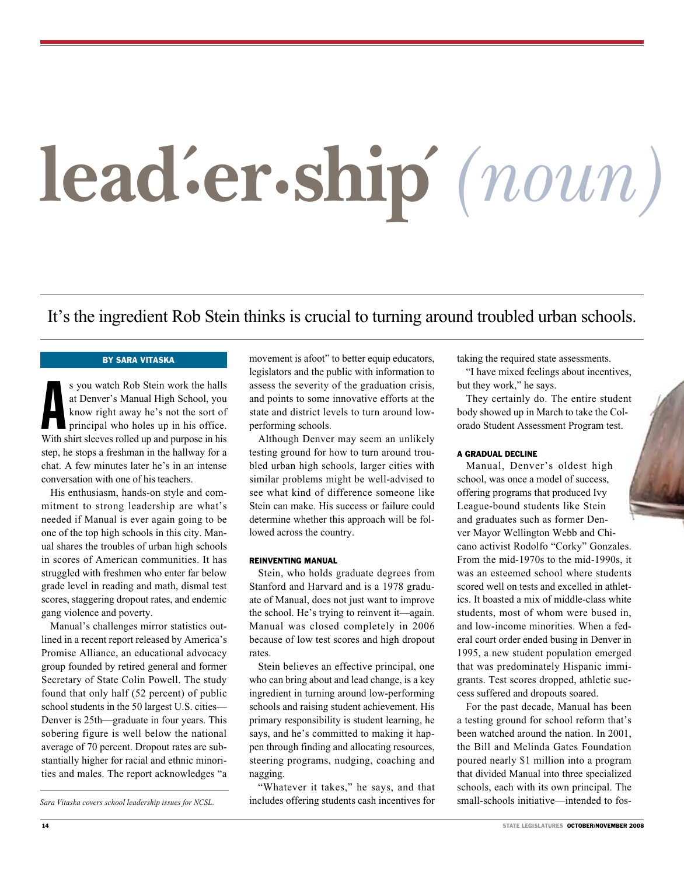# **lead. ´ er.ship´***(noun)*

# It's the ingredient Rob Stein thinks is crucial to turning around troubled urban schools.

### By Sara Vitaska

s you watch Rob Stein work the halls<br>at Denver's Manual High School, you<br>know right away he's not the sort of<br>principal who holes up in his office.<br>With shirt sleeves rolled up and purpose in his s you watch Rob Stein work the halls at Denver's Manual High School, you know right away he's not the sort of principal who holes up in his office. step, he stops a freshman in the hallway for a chat. A few minutes later he's in an intense conversation with one of his teachers.

His enthusiasm, hands-on style and commitment to strong leadership are what's needed if Manual is ever again going to be one of the top high schools in this city. Manual shares the troubles of urban high schools in scores of American communities. It has struggled with freshmen who enter far below grade level in reading and math, dismal test scores, staggering dropout rates, and endemic gang violence and poverty.

Manual's challenges mirror statistics outlined in a recent report released by America's Promise Alliance, an educational advocacy group founded by retired general and former Secretary of State Colin Powell. The study found that only half (52 percent) of public school students in the 50 largest U.S. cities— Denver is 25th—graduate in four years. This sobering figure is well below the national average of 70 percent. Dropout rates are substantially higher for racial and ethnic minorities and males. The report acknowledges "a

*Sara Vitaska covers school leadership issues for NCSL.* 

movement is afoot" to better equip educators, legislators and the public with information to assess the severity of the graduation crisis, and points to some innovative efforts at the state and district levels to turn around lowperforming schools.

Although Denver may seem an unlikely testing ground for how to turn around troubled urban high schools, larger cities with similar problems might be well-advised to see what kind of difference someone like Stein can make. His success or failure could determine whether this approach will be followed across the country.

### REINVENTING MANUAL

Stein, who holds graduate degrees from Stanford and Harvard and is a 1978 graduate of Manual, does not just want to improve the school. He's trying to reinvent it—again. Manual was closed completely in 2006 because of low test scores and high dropout rates.

Stein believes an effective principal, one who can bring about and lead change, is a key ingredient in turning around low-performing schools and raising student achievement. His primary responsibility is student learning, he says, and he's committed to making it happen through finding and allocating resources, steering programs, nudging, coaching and nagging.

"Whatever it takes," he says, and that includes offering students cash incentives for

taking the required state assessments.

"I have mixed feelings about incentives, but they work," he says.

They certainly do. The entire student body showed up in March to take the Colorado Student Assessment Program test.

### A GRADUAL DECLINE

Manual, Denver's oldest high school, was once a model of success, offering programs that produced Ivy League-bound students like Stein and graduates such as former Denver Mayor Wellington Webb and Chicano activist Rodolfo "Corky" Gonzales. From the mid-1970s to the mid-1990s, it was an esteemed school where students scored well on tests and excelled in athletics. It boasted a mix of middle-class white students, most of whom were bused in, and low-income minorities. When a federal court order ended busing in Denver in 1995, a new student population emerged that was predominately Hispanic immigrants. Test scores dropped, athletic success suffered and dropouts soared.

For the past decade, Manual has been a testing ground for school reform that's been watched around the nation. In 2001, the Bill and Melinda Gates Foundation poured nearly \$1 million into a program that divided Manual into three specialized schools, each with its own principal. The small-schools initiative—intended to fos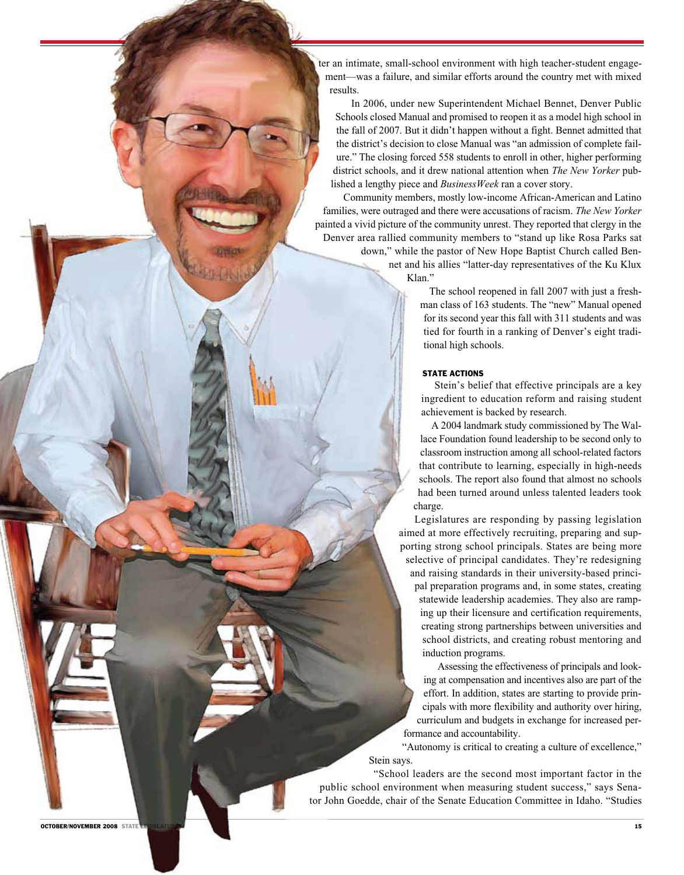ter an intimate, small-school environment with high teacher-student engagement—was a failure, and similar efforts around the country met with mixed results.

 In 2006, under new Superintendent Michael Bennet, Denver Public Schools closed Manual and promised to reopen it as a model high school in the fall of 2007. But it didn't happen without a fight. Bennet admitted that the district's decision to close Manual was "an admission of complete failure." The closing forced 558 students to enroll in other, higher performing district schools, and it drew national attention when *The New Yorker* published a lengthy piece and *BusinessWeek* ran a cover story.

 Community members, mostly low-income African-American and Latino families, were outraged and there were accusations of racism. *The New Yorker*  painted a vivid picture of the community unrest. They reported that clergy in the Denver area rallied community members to "stand up like Rosa Parks sat down," while the pastor of New Hope Baptist Church called Ben-

net and his allies "latter-day representatives of the Ku Klux Klan."

> The school reopened in fall 2007 with just a freshman class of 163 students. The "new" Manual opened for its second year this fall with 311 students and was tied for fourth in a ranking of Denver's eight traditional high schools.

### STATE ACTIONS

 Stein's belief that effective principals are a key ingredient to education reform and raising student achievement is backed by research.

 A 2004 landmark study commissioned by The Wallace Foundation found leadership to be second only to classroom instruction among all school-related factors that contribute to learning, especially in high-needs schools. The report also found that almost no schools had been turned around unless talented leaders took charge.

Legislatures are responding by passing legislation aimed at more effectively recruiting, preparing and supporting strong school principals. States are being more selective of principal candidates. They're redesigning and raising standards in their university-based principal preparation programs and, in some states, creating statewide leadership academies. They also are ramping up their licensure and certification requirements, creating strong partnerships between universities and school districts, and creating robust mentoring and induction programs.

 Assessing the effectiveness of principals and looking at compensation and incentives also are part of the effort. In addition, states are starting to provide principals with more flexibility and authority over hiring, curriculum and budgets in exchange for increased performance and accountability.

 "Autonomy is critical to creating a culture of excellence," Stein says.

 "School leaders are the second most important factor in the public school environment when measuring student success," says Senator John Goedde, chair of the Senate Education Committee in Idaho. "Studies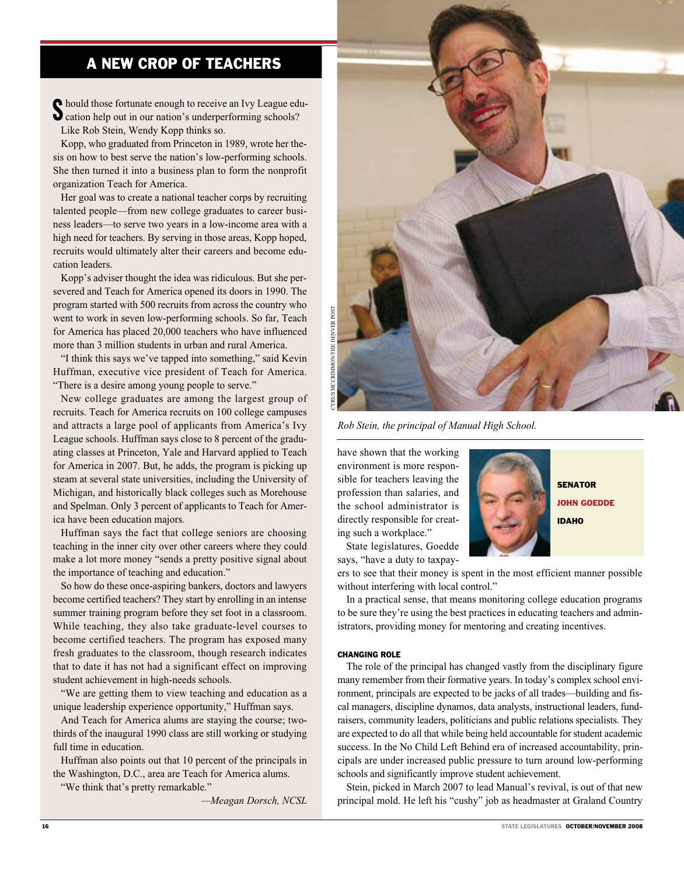# A New Crop of Teachers

Should those fortunate enough to receive an Ivy League ed<br>
Scation help out in our nation's underperforming schools? hould those fortunate enough to receive an Ivy League edu-Like Rob Stein, Wendy Kopp thinks so.

Kopp, who graduated from Princeton in 1989, wrote her thesis on how to best serve the nation's low-performing schools. She then turned it into a business plan to form the nonprofit organization Teach for America.

Her goal was to create a national teacher corps by recruiting talented people—from new college graduates to career business leaders—to serve two years in a low-income area with a high need for teachers. By serving in those areas, Kopp hoped, recruits would ultimately alter their careers and become education leaders.

Kopp's adviser thought the idea was ridiculous. But she persevered and Teach for America opened its doors in 1990. The program started with 500 recruits from across the country who went to work in seven low-performing schools. So far, Teach for America has placed 20,000 teachers who have influenced more than 3 million students in urban and rural America.

"I think this says we've tapped into something," said Kevin Huffman, executive vice president of Teach for America. "There is a desire among young people to serve."

New college graduates are among the largest group of recruits. Teach for America recruits on 100 college campuses and attracts a large pool of applicants from America's Ivy League schools. Huffman says close to 8 percent of the graduating classes at Princeton, Yale and Harvard applied to Teach for America in 2007. But, he adds, the program is picking up steam at several state universities, including the University of Michigan, and historically black colleges such as Morehouse and Spelman. Only 3 percent of applicants to Teach for America have been education majors.

Huffman says the fact that college seniors are choosing teaching in the inner city over other careers where they could make a lot more money "sends a pretty positive signal about the importance of teaching and education."

So how do these once-aspiring bankers, doctors and lawyers become certified teachers? They start by enrolling in an intense summer training program before they set foot in a classroom. While teaching, they also take graduate-level courses to become certified teachers. The program has exposed many fresh graduates to the classroom, though research indicates that to date it has not had a significant effect on improving student achievement in high-needs schools.

"We are getting them to view teaching and education as a unique leadership experience opportunity," Huffman says.

And Teach for America alums are staying the course; twothirds of the inaugural 1990 class are still working or studying full time in education.

Huffman also points out that 10 percent of the principals in the Washington, D.C., area are Teach for America alums.

"We think that's pretty remarkable."

*—Meagan Dorsch, NCSL*



*Rob Stein, the principal of Manual High School.* 

have shown that the working environment is more responsible for teachers leaving the profession than salaries, and the school administrator is directly responsible for creating such a workplace."

State legislatures, Goedde says, "have a duty to taxpay-



ers to see that their money is spent in the most efficient manner possible without interfering with local control."

In a practical sense, that means monitoring college education programs to be sure they're using the best practices in educating teachers and administrators, providing money for mentoring and creating incentives.

### CHANGING ROLE

The role of the principal has changed vastly from the disciplinary figure many remember from their formative years. In today's complex school environment, principals are expected to be jacks of all trades—building and fiscal managers, discipline dynamos, data analysts, instructional leaders, fundraisers, community leaders, politicians and public relations specialists. They are expected to do all that while being held accountable for student academic success. In the No Child Left Behind era of increased accountability, principals are under increased public pressure to turn around low-performing schools and significantly improve student achievement.

Stein, picked in March 2007 to lead Manual's revival, is out of that new principal mold. He left his "cushy" job as headmaster at Graland Country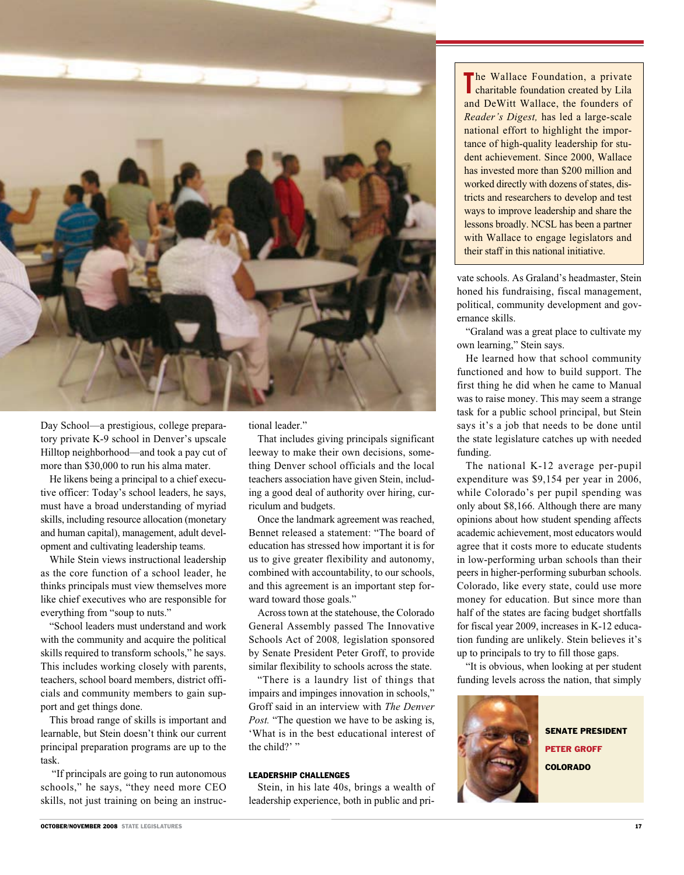

Day School—a prestigious, college preparatory private K-9 school in Denver's upscale Hilltop neighborhood—and took a pay cut of more than \$30,000 to run his alma mater.

He likens being a principal to a chief executive officer: Today's school leaders, he says, must have a broad understanding of myriad skills, including resource allocation (monetary and human capital), management, adult development and cultivating leadership teams.

While Stein views instructional leadership as the core function of a school leader, he thinks principals must view themselves more like chief executives who are responsible for everything from "soup to nuts."

"School leaders must understand and work with the community and acquire the political skills required to transform schools," he says. This includes working closely with parents, teachers, school board members, district officials and community members to gain support and get things done.

This broad range of skills is important and learnable, but Stein doesn't think our current principal preparation programs are up to the task.

 "If principals are going to run autonomous schools," he says, "they need more CEO skills, not just training on being an instructional leader."

That includes giving principals significant leeway to make their own decisions, something Denver school officials and the local teachers association have given Stein, including a good deal of authority over hiring, curriculum and budgets.

Once the landmark agreement was reached, Bennet released a statement: "The board of education has stressed how important it is for us to give greater flexibility and autonomy, combined with accountability, to our schools, and this agreement is an important step forward toward those goals."

Across town at the statehouse, the Colorado General Assembly passed The Innovative Schools Act of 2008*,* legislation sponsored by Senate President Peter Groff, to provide similar flexibility to schools across the state.

"There is a laundry list of things that impairs and impinges innovation in schools," Groff said in an interview with *The Denver Post.* "The question we have to be asking is, 'What is in the best educational interest of the child?' "

## LEADERSHIP CHALLENGES

Stein, in his late 40s, brings a wealth of leadership experience, both in public and pri-

The Wallace Foundation, a private<br>
charitable foundation created by Lila he Wallace Foundation, a private and DeWitt Wallace, the founders of *Reader's Digest,* has led a large-scale national effort to highlight the importance of high-quality leadership for student achievement. Since 2000, Wallace has invested more than \$200 million and worked directly with dozens of states, districts and researchers to develop and test ways to improve leadership and share the lessons broadly. NCSL has been a partner with Wallace to engage legislators and their staff in this national initiative.

vate schools. As Graland's headmaster, Stein honed his fundraising, fiscal management, political, community development and governance skills.

"Graland was a great place to cultivate my own learning," Stein says.

He learned how that school community functioned and how to build support. The first thing he did when he came to Manual was to raise money. This may seem a strange task for a public school principal, but Stein says it's a job that needs to be done until the state legislature catches up with needed funding.

The national K-12 average per-pupil expenditure was \$9,154 per year in 2006, while Colorado's per pupil spending was only about \$8,166. Although there are many opinions about how student spending affects academic achievement, most educators would agree that it costs more to educate students in low-performing urban schools than their peers in higher-performing suburban schools. Colorado, like every state, could use more money for education. But since more than half of the states are facing budget shortfalls for fiscal year 2009, increases in K-12 education funding are unlikely. Stein believes it's up to principals to try to fill those gaps.

"It is obvious, when looking at per student funding levels across the nation, that simply



Senate President Peter Groff **COLORADO**